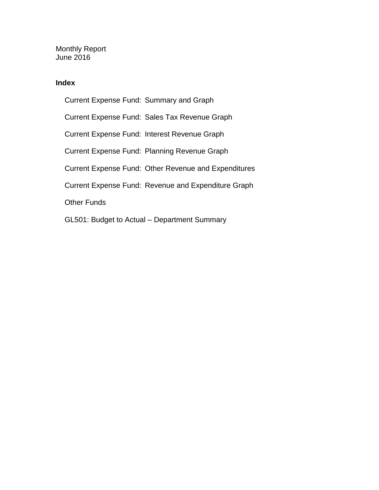Monthly Report June 2016

### **Index**

Current Expense Fund: Summary and Graph Current Expense Fund: Sales Tax Revenue Graph Current Expense Fund: Interest Revenue Graph Current Expense Fund: Planning Revenue Graph Current Expense Fund: Other Revenue and Expenditures Current Expense Fund: Revenue and Expenditure Graph Other Funds GL501: Budget to Actual – Department Summary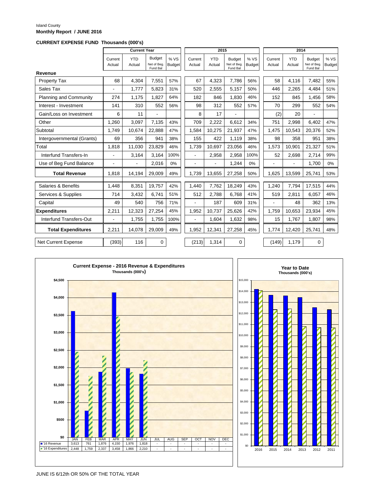#### Island County **Monthly Report / JUNE 2016**

#### **CURRENT EXPENSE FUND Thousands (000's)**

|                               |                   | <b>Current Year</b>  |                                          |                       |                   | 2015                 |                                          |                       |                   |                      | 2014                                     |                      |  |
|-------------------------------|-------------------|----------------------|------------------------------------------|-----------------------|-------------------|----------------------|------------------------------------------|-----------------------|-------------------|----------------------|------------------------------------------|----------------------|--|
|                               | Current<br>Actual | <b>YTD</b><br>Actual | <b>Budget</b><br>Net of Beg.<br>Fund Bal | % VS<br><b>Budget</b> | Current<br>Actual | <b>YTD</b><br>Actual | <b>Budget</b><br>Net of Beg.<br>Fund Bal | % VS<br><b>Budget</b> | Current<br>Actual | <b>YTD</b><br>Actual | <b>Budget</b><br>Net of Beg.<br>Fund Bal | %VS<br><b>Budget</b> |  |
| Revenue                       |                   |                      |                                          |                       |                   |                      |                                          |                       |                   |                      |                                          |                      |  |
| <b>Property Tax</b>           | 68                | 4,304                | 7,551                                    | 57%                   | 67                | 4,323                | 7,786                                    | 56%                   | 58                | 4,116                | 7,482                                    | 55%                  |  |
| Sales Tax                     |                   | 1,777                | 5,823                                    | 31%                   | 520               | 2,555                | 5,157                                    | 50%                   | 446               | 2,265                | 4,484                                    | 51%                  |  |
| <b>Planning and Community</b> | 274               | 1,175                | 1,827                                    | 64%                   | 182               | 846                  | 1,830                                    | 46%                   | 152               | 845                  | 1,456                                    | 58%                  |  |
| Interest - Investment         | 141               | 310                  | 552                                      | 56%                   | 98                | 312                  | 552                                      | 57%                   | 70                | 299                  | 552                                      | 54%                  |  |
| Gain/Loss on Investment       | 6                 | 11                   | ä,                                       |                       | 8                 | 17                   |                                          |                       | (2)               | 20                   |                                          |                      |  |
| Other                         | 1,260             | 3,097                | 7,135                                    | 43%                   | 709               | 2,222                | 6,612                                    | 34%                   | 751               | 2,998                | 6,402                                    | 47%                  |  |
| Subtotal                      | 1,749             | 10,674               | 22,888                                   | 47%                   | 1,584             | 10,275               | 21,937                                   | 47%                   | 1,475             | 10,543               | 20,376                                   | 52%                  |  |
| Intergovernmental (Grants)    | 69                | 356                  | 941                                      | 38%                   | 155               | 422                  | 1,119                                    | 38%                   | 98                | 358                  | 951                                      | 38%                  |  |
| Total                         | 1,818             | 11,030               | 23,829                                   | 46%                   | 1,739             | 10,697               | 23,056                                   | 46%                   | 1,573             | 10,901               | 21,327                                   | 51%                  |  |
| Interfund Transfers-In        |                   | 3,164                | 3,164                                    | 100%                  | $\overline{a}$    | 2,958                | 2,958                                    | 100%                  | 52                | 2,698                | 2,714                                    | 99%                  |  |
| Use of Beg Fund Balance       | L.                | ٠                    | 2,016                                    | 0%                    | ÷.                | $\blacksquare$       | 1,244                                    | 0%                    | L.                | $\blacksquare$       | 1,700                                    | 0%                   |  |
| <b>Total Revenue</b>          | 1,818             | 14,194               | 29,009                                   | 49%                   | 1,739             | 13,655               | 27,258                                   | 50%                   | 1,625             | 13,599               | 25,741                                   | 53%                  |  |
| Salaries & Benefits           | 1,448             | 8,351                | 19,757                                   | 42%                   | 1,440             | 7,762                | 18,249                                   | 43%                   | 1,240             | 7,794                | 17,515                                   | 44%                  |  |
| Services & Supplies           | 714               | 3,432                | 6,741                                    | 51%                   | 512               | 2,788                | 6,768                                    | 41%                   | 519               | 2,811                | 6,057                                    | 46%                  |  |
| Capital                       | 49                | 540                  | 756                                      | 71%                   | L.                | 187                  | 609                                      | 31%                   |                   | 48                   | 362                                      | 13%                  |  |
| <b>Expenditures</b>           | 2,211             | 12,323               | 27,254                                   | 45%                   | 1,952             | 10,737               | 25,626                                   | 42%                   | 1,759             | 10,653               | 23,934                                   | 45%                  |  |
| Interfund Transfers-Out       | $\overline{a}$    | 1,755                | 1,755                                    | 100%                  | ä,                | 1,604                | 1,632                                    | 98%                   | 15                | 1,767                | 1,807                                    | 98%                  |  |
| <b>Total Expenditures</b>     | 2,211             | 14,078               | 29,009                                   | 49%                   | 1,952             | 12,341               | 27,258                                   | 45%                   | 1,774             | 12,420               | 25,741                                   | 48%                  |  |
| <b>Net Current Expense</b>    | (393)             | 116                  | $\mathbf 0$                              |                       | (213)             | 1,314                | $\mathbf 0$                              |                       | (149)             | 1,179                | $\mathbf 0$                              |                      |  |



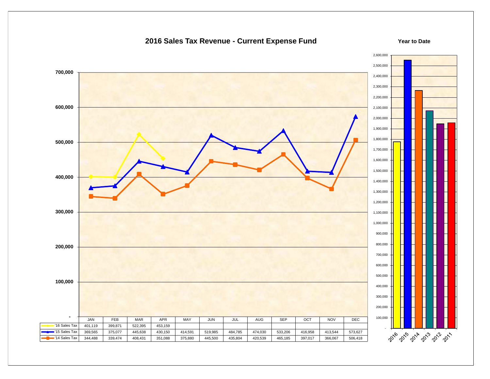### **2016 Sales Tax Revenue - Current Expense Fund**

#### **Year to Date**

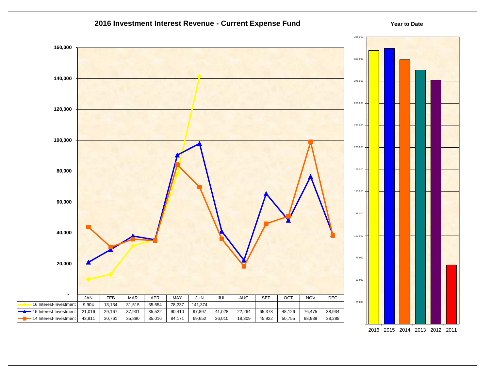

<sup>2016</sup> 2015 2014 2013 2012 2011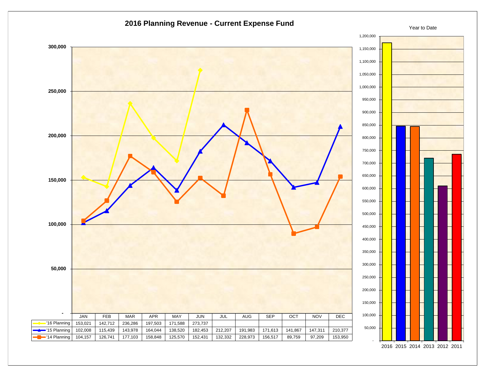

2016 2015 2014 2013 2012 2011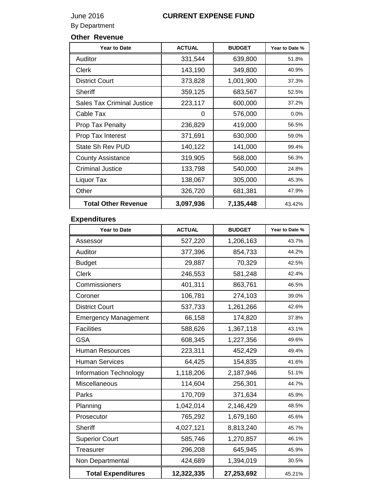### June 2016 **CURRENT EXPENSE FUND**

By Department

### **Other Revenue**

| <b>Year to Date</b>               | <b>ACTUAL</b> | <b>BUDGET</b> | Year to Date % |
|-----------------------------------|---------------|---------------|----------------|
| Auditor                           | 331,544       | 639,800       | 51.8%          |
| Clerk                             | 143,190       | 349,800       | 40.9%          |
| <b>District Court</b>             | 373,828       | 1,001,900     | 37.3%          |
| Sheriff                           | 359,125       | 683,567       | 52.5%          |
| <b>Sales Tax Criminal Justice</b> | 223,117       | 600,000       | 37.2%          |
| Cable Tax                         | 0             | 576,000       | 0.0%           |
| Prop Tax Penalty                  | 236,829       | 419,000       | 56.5%          |
| Prop Tax Interest                 | 371,691       | 630,000       | 59.0%          |
| State Sh Rev PUD                  | 140,122       | 141,000       | 99.4%          |
| <b>County Assistance</b>          | 319,905       | 568,000       | 56.3%          |
| <b>Criminal Justice</b>           | 133,798       | 540,000       | 24.8%          |
| Liquor Tax                        | 138,067       | 305,000       | 45.3%          |
| Other                             | 326,720       | 681,381       | 47.9%          |
| <b>Total Other Revenue</b>        | 3,097,936     | 7,135,448     | 43.42%         |

### **Expenditures**

| <b>Year to Date</b>         | <b>ACTUAL</b> | <b>BUDGET</b> | Year to Date % |
|-----------------------------|---------------|---------------|----------------|
| Assessor                    | 527,220       | 1,206,163     | 43.7%          |
| Auditor                     | 377,396       | 854,733       | 44.2%          |
| <b>Budget</b>               | 29,887        | 70,329        | 42.5%          |
| <b>Clerk</b>                | 246,553       | 581,248       | 42.4%          |
| Commissioners               | 401,311       | 863,761       | 46.5%          |
| Coroner                     | 106,781       | 274,103       | 39.0%          |
| <b>District Court</b>       | 537,733       | 1,261,266     | 42.6%          |
| <b>Emergency Management</b> | 66,158        | 174,820       | 37.8%          |
| <b>Facilities</b>           | 588,626       | 1,367,118     | 43.1%          |
| <b>GSA</b>                  | 608,345       | 1,227,356     | 49.6%          |
| <b>Human Resources</b>      | 223,311       | 452,429       | 49.4%          |
| <b>Human Services</b>       | 64,425        | 154,835       | 41.6%          |
| Information Technology      | 1,118,206     | 2,187,946     | 51.1%          |
| Miscellaneous               | 114,604       | 256,301       | 44.7%          |
| Parks                       | 170,709       | 371,634       | 45.9%          |
| Planning                    | 1,042,014     | 2,146,429     | 48.5%          |
| Prosecutor                  | 765,292       | 1,679,160     | 45.6%          |
| <b>Sheriff</b>              | 4,027,121     | 8,813,240     | 45.7%          |
| <b>Superior Court</b>       | 585,746       | 1,270,857     | 46.1%          |
| <b>Treasurer</b>            | 296,208       | 645,945       | 45.9%          |
| Non Departmental            | 424,689       | 1,394,019     | 30.5%          |
| <b>Total Expenditures</b>   | 12,322,335    | 27,253,692    | 45.21%         |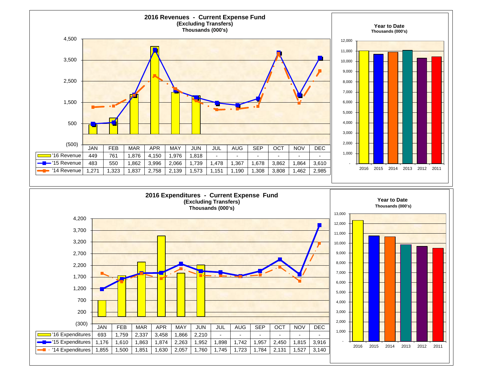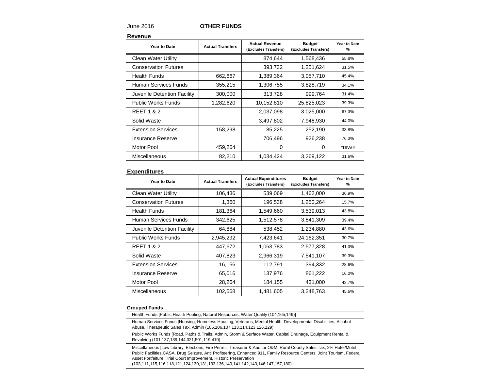### June 2016 **OTHER FUNDS**

**Revenue**

| Year to Date                | <b>Actual Transfers</b> | <b>Actual Revenue</b><br>(Excludes Transfers) | <b>Budget</b><br>(Excludes Transfers) | Year to Date<br>% |
|-----------------------------|-------------------------|-----------------------------------------------|---------------------------------------|-------------------|
| <b>Clean Water Utility</b>  |                         | 874,644                                       | 1,568,436                             | 55.8%             |
| <b>Conservation Futures</b> |                         | 393,732                                       | 1,251,624                             | 31.5%             |
| <b>Health Funds</b>         | 662,667                 | 1,389,364                                     | 3,057,710                             | 45.4%             |
| Human Services Funds        | 355,215                 | 1,306,755                                     | 3,828,719                             | 34.1%             |
| Juvenile Detention Facility | 300,000                 | 313,728                                       | 999,764                               | 31.4%             |
| <b>Public Works Funds</b>   | 1,282,620               | 10,152,810                                    | 25,825,023                            | 39.3%             |
| <b>REET 1 &amp; 2</b>       |                         | 2,037,098                                     | 3,025,000                             | 67.3%             |
| Solid Waste                 |                         | 3,497,802                                     | 7,948,930                             | 44.0%             |
| <b>Extension Services</b>   | 158,298                 | 85,225                                        | 252,190                               | 33.8%             |
| <b>Insurance Reserve</b>    |                         | 706,496                                       | 926,238                               | 76.3%             |
| <b>Motor Pool</b>           | 459,264                 | 0                                             | 0                                     | #DIV/0!           |
| Miscellaneous               | 82,210                  | 1,034,424                                     | 3,269,122                             | 31.6%             |

#### **Expenditures**

| Year to Date                | <b>Actual Transfers</b> | <b>Actual Expenditures</b><br>(Excludes Transfers) | <b>Budget</b><br>(Excludes Transfers) | Year to Date<br>$\%$ |
|-----------------------------|-------------------------|----------------------------------------------------|---------------------------------------|----------------------|
| <b>Clean Water Utility</b>  | 106,436                 | 539,069                                            | 1,462,000                             | 36.9%                |
| <b>Conservation Futures</b> | 1,360                   | 196,538                                            | 1,250,264                             | 15.7%                |
| <b>Health Funds</b>         | 181,364                 | 1,549,660                                          | 3,539,013                             | 43.8%                |
| Human Services Funds        | 342,625                 | 1,512,578                                          | 3,841,309                             | 39.4%                |
| Juvenile Detention Facility | 64,884                  | 538,452                                            | 1,234,880                             | 43.6%                |
| <b>Public Works Funds</b>   | 2,945,292               | 7,423,641                                          | 24,162,351                            | 30.7%                |
| <b>REET 1 &amp; 2</b>       | 447,672                 | 1,063,783                                          | 2,577,328                             | 41.3%                |
| Solid Waste                 | 407,823                 | 2,966,319                                          | 7,541,107                             | 39.3%                |
| <b>Extension Services</b>   | 16,156                  | 112,791                                            | 394,332                               | 28.6%                |
| Insurance Reserve           | 65,016                  | 137,976                                            | 861,222                               | 16.0%                |
| <b>Motor Pool</b>           | 28,264                  | 184,155                                            | 431,000                               | 42.7%                |
| Miscellaneous               | 102,568                 | 1,481,605                                          | 3,248,763                             | 45.6%                |

#### **Grouped Funds**

| Health Funds [Public Health Pooling, Natural Resources, Water Quality (104,165,149)]                                                                                                                                                                                                                                                                                                                 |
|------------------------------------------------------------------------------------------------------------------------------------------------------------------------------------------------------------------------------------------------------------------------------------------------------------------------------------------------------------------------------------------------------|
| Human Services Funds [Housing, Homeless Housing, Veterans, Mental Health, Developmental Disabilities, Alcohol<br>Abuse, Therapeutic Sales Tax, Admin (105,106,107,113,114,123,126,129)                                                                                                                                                                                                               |
| Public Works Funds [Road, Paths & Trails, Admin, Storm & Surface Water, Capital Drainage, Equipment Rental &<br>Revolving (101,137,139,144,321,501,119,410)                                                                                                                                                                                                                                          |
| Miscellaneous [Law Library, Elections, Fire Permit, Treasurer & Auditor O&M, Rural County Sales Tax, 2% Hotel/Motel<br>Public Facilities, CASA, Drug Seizure, Anti Profiteering, Enhanced 911, Family Resource Centers, Joint Tourism, Federal<br>Asset Fortfeiture, Trial Court Improvement, Historic Preservation<br>(103,111,115,116,118,121,124,130,131,133,136,140,141,142,143,146,147,157,180) |
|                                                                                                                                                                                                                                                                                                                                                                                                      |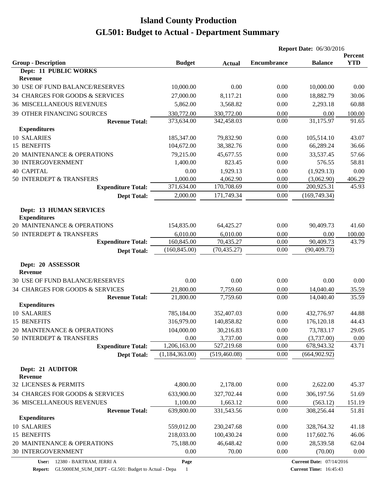|                                                       |                |               | <b>Report Date: 06/30/2016</b> |                |                       |
|-------------------------------------------------------|----------------|---------------|--------------------------------|----------------|-----------------------|
|                                                       |                |               | <b>Encumbrance</b>             | <b>Balance</b> | Percent<br><b>YTD</b> |
| <b>Group - Description</b><br>Dept: 11 PUBLIC WORKS   | <b>Budget</b>  | <b>Actual</b> |                                |                |                       |
| Revenue                                               |                |               |                                |                |                       |
| 30 USE OF FUND BALANCE/RESERVES                       | 10,000.00      | 0.00          | 0.00                           | 10,000.00      | 0.00                  |
| 34 CHARGES FOR GOODS & SERVICES                       | 27,000.00      | 8,117.21      | 0.00                           | 18,882.79      | 30.06                 |
| <b>36 MISCELLANEOUS REVENUES</b>                      | 5,862.00       | 3,568.82      | 0.00                           | 2,293.18       | 60.88                 |
| <b>39 OTHER FINANCING SOURCES</b>                     | 330,772.00     | 330,772.00    | 0.00                           | 0.00           | 100.00                |
| <b>Revenue Total:</b>                                 | 373,634.00     | 342,458.03    | 0.00                           | 31,175.97      | 91.65                 |
| <b>Expenditures</b>                                   |                |               |                                |                |                       |
| 10 SALARIES                                           | 185,347.00     | 79,832.90     | 0.00                           | 105,514.10     | 43.07                 |
| 15 BENEFITS                                           | 104,672.00     | 38,382.76     | 0.00                           | 66,289.24      | 36.66                 |
| 20 MAINTENANCE & OPERATIONS                           | 79,215.00      | 45,677.55     | 0.00                           | 33,537.45      | 57.66                 |
| 30 INTERGOVERNMENT                                    | 1,400.00       | 823.45        | 0.00                           | 576.55         | 58.81                 |
| <b>40 CAPITAL</b>                                     | 0.00           | 1,929.13      | 0.00                           | (1,929.13)     | 0.00                  |
| 50 INTERDEPT & TRANSFERS                              | 1,000.00       | 4,062.90      | 0.00                           | (3,062.90)     | 406.29                |
| <b>Expenditure Total:</b>                             | 371,634.00     | 170,708.69    | 0.00                           | 200,925.31     | 45.93                 |
| <b>Dept Total:</b>                                    | 2,000.00       | 171,749.34    | 0.00                           | (169, 749.34)  |                       |
|                                                       |                |               |                                |                |                       |
| <b>Dept: 13 HUMAN SERVICES</b><br><b>Expenditures</b> |                |               |                                |                |                       |
| 20 MAINTENANCE & OPERATIONS                           | 154,835.00     | 64,425.27     | 0.00                           | 90,409.73      | 41.60                 |
| 50 INTERDEPT & TRANSFERS                              | 6,010.00       | 6,010.00      | 0.00                           | 0.00           | 100.00                |
| <b>Expenditure Total:</b>                             | 160,845.00     | 70,435.27     | 0.00                           | 90,409.73      | 43.79                 |
| <b>Dept Total:</b>                                    | (160, 845.00)  | (70, 435.27)  | 0.00                           | (90, 409.73)   |                       |
|                                                       |                |               |                                |                |                       |
| Dept: 20 ASSESSOR<br>Revenue                          |                |               |                                |                |                       |
| 30 USE OF FUND BALANCE/RESERVES                       | 0.00           | 0.00          | 0.00                           | 0.00           | 0.00                  |
| 34 CHARGES FOR GOODS & SERVICES                       | 21,800.00      | 7,759.60      | 0.00                           | 14,040.40      | 35.59                 |
| <b>Revenue Total:</b>                                 | 21,800.00      | 7,759.60      | 0.00                           | 14,040.40      | 35.59                 |
| <b>Expenditures</b>                                   |                |               |                                |                |                       |
| 10 SALARIES                                           | 785,184.00     | 352,407.03    | 0.00                           | 432,776.97     | 44.88                 |
| 15 BENEFITS                                           | 316,979.00     | 140,858.82    | 0.00                           | 176,120.18     | 44.43                 |
| 20 MAINTENANCE & OPERATIONS                           | 104,000.00     | 30,216.83     | 0.00                           | 73,783.17      | 29.05                 |
| 50 INTERDEPT & TRANSFERS                              | 0.00           | 3,737.00      | 0.00                           | (3,737.00)     | 0.00                  |
| <b>Expenditure Total:</b>                             | 1,206,163.00   | 527,219.68    | 0.00                           | 678,943.32     | 43.71                 |
| <b>Dept Total:</b>                                    | (1,184,363.00) | (519, 460.08) | 0.00                           | (664, 902.92)  |                       |
| Dept: 21 AUDITOR<br>Revenue                           |                |               |                                |                |                       |
| 32 LICENSES & PERMITS                                 | 4,800.00       | 2,178.00      | 0.00                           | 2,622.00       | 45.37                 |
| 34 CHARGES FOR GOODS & SERVICES                       | 633,900.00     | 327,702.44    | 0.00                           | 306,197.56     | 51.69                 |
| <b>36 MISCELLANEOUS REVENUES</b>                      | 1,100.00       | 1,663.12      | 0.00                           | (563.12)       | 151.19                |
| <b>Revenue Total:</b>                                 | 639,800.00     | 331,543.56    | 0.00                           | 308,256.44     | 51.81                 |
| <b>Expenditures</b>                                   |                |               |                                |                |                       |
| 10 SALARIES                                           | 559,012.00     | 230, 247.68   | 0.00                           | 328,764.32     | 41.18                 |
| 15 BENEFITS                                           | 218,033.00     | 100,430.24    | 0.00                           | 117,602.76     | 46.06                 |
| 20 MAINTENANCE & OPERATIONS                           | 75,188.00      | 46,648.42     | 0.00                           | 28,539.58      | 62.04                 |
| 30 INTERGOVERNMENT                                    | 0.00           | 70.00         | 0.00                           | (70.00)        | 0.00                  |
|                                                       |                |               |                                |                |                       |

**Page**

**Report:** GL5000EM\_SUM\_DEPT - GL501: Budget to Actual - Depa 1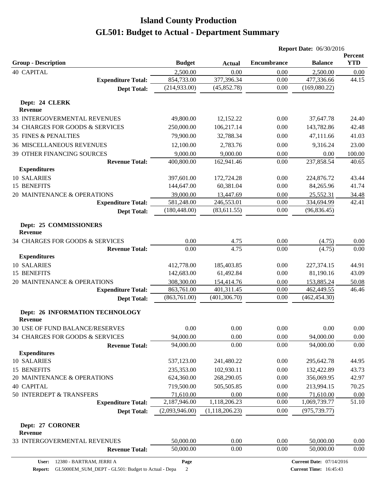|                                                          |                            |                             | <b>Report Date: 06/30/2016</b> |                                 |                       |
|----------------------------------------------------------|----------------------------|-----------------------------|--------------------------------|---------------------------------|-----------------------|
| <b>Group - Description</b>                               | <b>Budget</b>              | <b>Actual</b>               | <b>Encumbrance</b>             | <b>Balance</b>                  | Percent<br><b>YTD</b> |
| <b>40 CAPITAL</b>                                        | 2,500.00                   | 0.00                        | 0.00                           | 2,500.00                        | 0.00                  |
| <b>Expenditure Total:</b>                                | 854,733.00                 | 377,396.34                  | 0.00                           | 477,336.66                      | 44.15                 |
| <b>Dept Total:</b>                                       | (214, 933.00)              | (45, 852.78)                | 0.00                           | (169,080.22)                    |                       |
| Dept: 24 CLERK<br><b>Revenue</b>                         |                            |                             |                                |                                 |                       |
| 33 INTERGOVERMENTAL REVENUES                             | 49,800.00                  | 12,152.22                   | 0.00                           | 37,647.78                       | 24.40                 |
| 34 CHARGES FOR GOODS & SERVICES                          | 250,000.00                 | 106,217.14                  | 0.00                           | 143,782.86                      | 42.48                 |
| <b>35 FINES &amp; PENALTIES</b>                          | 79,900.00                  | 32,788.34                   | 0.00                           | 47,111.66                       | 41.03                 |
| <b>36 MISCELLANEOUS REVENUES</b>                         | 12,100.00                  | 2,783.76                    | 0.00                           | 9,316.24                        | 23.00                 |
| 39 OTHER FINANCING SOURCES                               | 9,000.00                   | 9,000.00                    | 0.00                           | 0.00                            | 100.00                |
| <b>Revenue Total:</b>                                    | 400,800.00                 | 162,941.46                  | 0.00                           | 237,858.54                      | 40.65                 |
| <b>Expenditures</b>                                      |                            |                             |                                |                                 |                       |
| 10 SALARIES                                              | 397,601.00                 | 172,724.28                  | 0.00                           | 224,876.72                      | 43.44                 |
| 15 BENEFITS                                              | 144,647.00                 | 60,381.04                   | 0.00                           | 84,265.96                       | 41.74                 |
| 20 MAINTENANCE & OPERATIONS                              | 39,000.00                  | 13,447.69                   | 0.00                           | 25,552.31                       | 34.48                 |
| <b>Expenditure Total:</b>                                | 581,248.00                 | 246,553.01                  | 0.00                           | 334,694.99                      | 42.41                 |
| <b>Dept Total:</b>                                       | (180, 448.00)              | (83, 611.55)                | 0.00                           | (96, 836.45)                    |                       |
| Dept: 25 COMMISSIONERS<br><b>Revenue</b>                 |                            |                             |                                |                                 |                       |
| 34 CHARGES FOR GOODS & SERVICES                          | 0.00                       | 4.75                        | 0.00                           | (4.75)                          | 0.00                  |
| <b>Revenue Total:</b>                                    | 0.00                       | 4.75                        | 0.00                           | (4.75)                          | 0.00                  |
| <b>Expenditures</b>                                      |                            |                             |                                |                                 |                       |
| 10 SALARIES                                              | 412,778.00                 | 185,403.85                  | 0.00                           | 227,374.15                      | 44.91                 |
| 15 BENEFITS                                              | 142,683.00                 | 61,492.84                   | 0.00                           | 81,190.16                       | 43.09                 |
| 20 MAINTENANCE & OPERATIONS                              | 308,300.00                 | 154,414.76                  | 0.00                           | 153,885.24                      | 50.08                 |
| <b>Expenditure Total:</b>                                | 863,761.00<br>(863,761.00) | 401,311.45<br>(401, 306.70) | 0.00<br>0.00                   | 462,449.55<br>(462, 454.30)     | 46.46                 |
| <b>Dept Total:</b>                                       |                            |                             |                                |                                 |                       |
| <b>Dept: 26 INFORMATION TECHNOLOGY</b><br><b>Revenue</b> |                            |                             |                                |                                 |                       |
| 30 USE OF FUND BALANCE/RESERVES                          | 0.00                       | 0.00                        | 0.00                           | 0.00                            | 0.00                  |
| 34 CHARGES FOR GOODS & SERVICES                          | 94,000.00                  | 0.00                        | 0.00                           | 94,000.00                       | 0.00                  |
| <b>Revenue Total:</b>                                    | 94,000.00                  | 0.00                        | 0.00                           | 94,000.00                       | 0.00                  |
| <b>Expenditures</b>                                      |                            |                             |                                |                                 |                       |
| 10 SALARIES                                              | 537,123.00                 | 241,480.22                  | 0.00                           | 295,642.78                      | 44.95                 |
| 15 BENEFITS                                              | 235,353.00                 | 102,930.11                  | 0.00                           | 132,422.89                      | 43.73                 |
| 20 MAINTENANCE & OPERATIONS<br><b>40 CAPITAL</b>         | 624,360.00                 | 268,290.05                  | 0.00                           | 356,069.95                      | 42.97                 |
| 50 INTERDEPT & TRANSFERS                                 | 719,500.00<br>71,610.00    | 505,505.85<br>0.00          | 0.00<br>0.00                   | 213,994.15<br>71,610.00         | 70.25<br>0.00         |
| <b>Expenditure Total:</b>                                | 2,187,946.00               | 1,118,206.23                | 0.00                           | 1,069,739.77                    | 51.10                 |
| <b>Dept Total:</b>                                       | (2,093,946.00)             | (1, 118, 206.23)            | 0.00                           | (975, 739.77)                   |                       |
|                                                          |                            |                             |                                |                                 |                       |
| Dept: 27 CORONER<br><b>Revenue</b>                       |                            |                             |                                |                                 |                       |
| 33 INTERGOVERMENTAL REVENUES                             | 50,000.00                  | 0.00                        | 0.00                           | 50,000.00                       | 0.00                  |
| <b>Revenue Total:</b>                                    | 50,000.00                  | 0.00                        | 0.00                           | 50,000.00                       | 0.00                  |
| 12380 - BARTRAM, JERRI A<br><b>User:</b>                 | Page                       |                             |                                | <b>Current Date: 07/14/2016</b> |                       |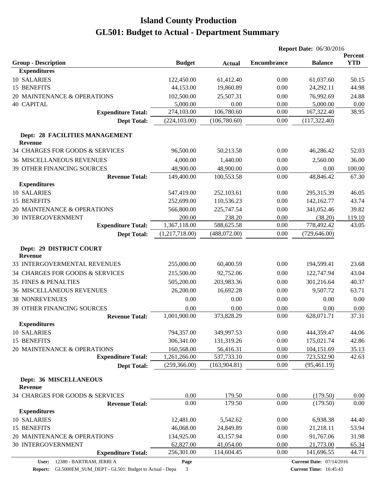|                                                  |                |               |                    | <b>Report Date: 06/30/2016</b>  |                       |  |
|--------------------------------------------------|----------------|---------------|--------------------|---------------------------------|-----------------------|--|
| <b>Group - Description</b>                       | <b>Budget</b>  | <b>Actual</b> | <b>Encumbrance</b> | <b>Balance</b>                  | Percent<br><b>YTD</b> |  |
| <b>Expenditures</b>                              |                |               |                    |                                 |                       |  |
| 10 SALARIES                                      | 122,450.00     | 61,412.40     | 0.00               | 61,037.60                       | 50.15                 |  |
| 15 BENEFITS                                      | 44,153.00      | 19,860.89     | 0.00               | 24,292.11                       | 44.98                 |  |
| 20 MAINTENANCE & OPERATIONS                      | 102,500.00     | 25,507.31     | 0.00               | 76,992.69                       | 24.88                 |  |
| <b>40 CAPITAL</b>                                | 5,000.00       | 0.00          | 0.00               | 5,000.00                        | 0.00                  |  |
| <b>Expenditure Total:</b>                        | 274,103.00     | 106,780.60    | 0.00               | 167,322.40                      | 38.95                 |  |
| <b>Dept Total:</b>                               | (224, 103.00)  | (106,780.60)  | 0.00               | (117, 322.40)                   |                       |  |
| Dept: 28 FACILITIES MANAGEMENT<br><b>Revenue</b> |                |               |                    |                                 |                       |  |
| 34 CHARGES FOR GOODS & SERVICES                  | 96,500.00      | 50,213.58     | 0.00               | 46,286.42                       | 52.03                 |  |
| <b>36 MISCELLANEOUS REVENUES</b>                 | 4,000.00       | 1,440.00      | 0.00               | 2,560.00                        | 36.00                 |  |
| <b>39 OTHER FINANCING SOURCES</b>                | 48,900.00      | 48,900.00     | 0.00               | 0.00                            | 100.00                |  |
| <b>Revenue Total:</b>                            | 149,400.00     | 100,553.58    | 0.00               | 48,846.42                       | 67.30                 |  |
| <b>Expenditures</b>                              |                |               |                    |                                 |                       |  |
| <b>10 SALARIES</b>                               | 547,419.00     | 252,103.61    | 0.00               | 295,315.39                      | 46.05                 |  |
| 15 BENEFITS                                      | 252,699.00     | 110,536.23    | 0.00               | 142,162.77                      | 43.74                 |  |
| 20 MAINTENANCE & OPERATIONS                      | 566,800.00     | 225,747.54    | 0.00               | 341,052.46                      | 39.82                 |  |
| 30 INTERGOVERNMENT                               | 200.00         | 238.20        | 0.00               | (38.20)                         | 119.10                |  |
| <b>Expenditure Total:</b>                        | 1,367,118.00   | 588,625.58    | 0.00               | 778,492.42                      | 43.05                 |  |
| <b>Dept Total:</b>                               | (1,217,718.00) | (488,072.00)  | 0.00               | (729, 646.00)                   |                       |  |
| Dept: 29 DISTRICT COURT<br><b>Revenue</b>        |                |               |                    |                                 |                       |  |
| 33 INTERGOVERMENTAL REVENUES                     | 255,000.00     | 60,400.59     | 0.00               | 194,599.41                      | 23.68                 |  |
| 34 CHARGES FOR GOODS & SERVICES                  | 215,500.00     | 92,752.06     | 0.00               | 122,747.94                      | 43.04                 |  |
| <b>35 FINES &amp; PENALTIES</b>                  | 505,200.00     | 203,983.36    | 0.00               | 301,216.64                      | 40.37                 |  |
| <b>36 MISCELLANEOUS REVENUES</b>                 | 26,200.00      | 16,692.28     | 0.00               | 9,507.72                        | 63.71                 |  |
| <b>38 NONREVENUES</b>                            | 0.00           | 0.00          | 0.00               | 0.00                            | 0.00                  |  |
| 39 OTHER FINANCING SOURCES                       | 0.00           | 0.00          | 0.00               | 0.00                            | 0.00                  |  |
| <b>Revenue Total:</b>                            | 1,001,900.00   | 373,828.29    | 0.00               | 628,071.71                      | 37.31                 |  |
| <b>Expenditures</b>                              |                |               |                    |                                 |                       |  |
| 10 SALARIES                                      | 794,357.00     | 349,997.53    | 0.00               | 444,359.47                      | 44.06                 |  |
| 15 BENEFITS                                      | 306,341.00     | 131,319.26    | 0.00               | 175,021.74                      | 42.86                 |  |
| 20 MAINTENANCE & OPERATIONS                      | 160,568.00     | 56,416.31     | 0.00               | 104,151.69                      | 35.13                 |  |
| <b>Expenditure Total:</b>                        | 1,261,266.00   | 537,733.10    | 0.00               | 723,532.90                      | 42.63                 |  |
| <b>Dept Total:</b>                               | (259, 366.00)  | (163, 904.81) | 0.00               | (95, 461.19)                    |                       |  |
| Dept: 36 MISCELLANEOUS<br>Revenue                |                |               |                    |                                 |                       |  |
| 34 CHARGES FOR GOODS & SERVICES                  | 0.00           | 179.50        | 0.00               | (179.50)                        | 0.00                  |  |
| <b>Revenue Total:</b>                            | 0.00           | 179.50        | 0.00               | (179.50)                        | 0.00                  |  |
| <b>Expenditures</b>                              |                |               |                    |                                 |                       |  |
| 10 SALARIES                                      | 12,481.00      | 5,542.62      | 0.00               | 6,938.38                        | 44.40                 |  |
| 15 BENEFITS                                      | 46,068.00      | 24,849.89     | 0.00               | 21,218.11                       | 53.94                 |  |
| 20 MAINTENANCE & OPERATIONS                      | 134,925.00     | 43,157.94     | 0.00               | 91,767.06                       | 31.98                 |  |
| 30 INTERGOVERNMENT                               | 62,827.00      | 41,054.00     | 0.00               | 21,773.00                       | 65.34                 |  |
| <b>Expenditure Total:</b>                        | 256,301.00     | 114,604.45    | 0.00               | 141,696.55                      | 44.71                 |  |
| 12380 - BARTRAM, JERRI A<br>User:                | Page           |               |                    | <b>Current Date: 07/14/2016</b> |                       |  |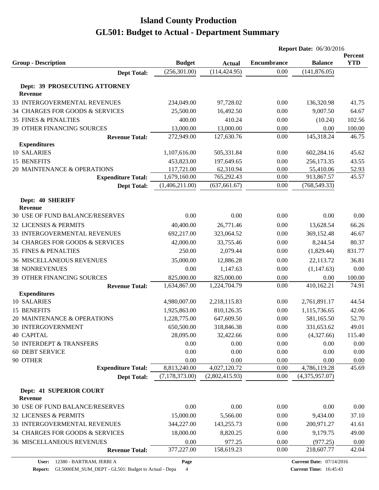|                                              |                            |                            | <b>Report Date: 06/30/2016</b> |                                 |                       |
|----------------------------------------------|----------------------------|----------------------------|--------------------------------|---------------------------------|-----------------------|
| <b>Group - Description</b>                   | <b>Budget</b>              | <b>Actual</b>              | <b>Encumbrance</b>             | <b>Balance</b>                  | Percent<br><b>YTD</b> |
| <b>Dept Total:</b>                           | (256, 301.00)              | (114, 424.95)              | 0.00                           | (141, 876.05)                   |                       |
|                                              |                            |                            |                                |                                 |                       |
| Dept: 39 PROSECUTING ATTORNEY<br>Revenue     |                            |                            |                                |                                 |                       |
| 33 INTERGOVERMENTAL REVENUES                 | 234,049.00                 | 97,728.02                  | 0.00                           | 136,320.98                      | 41.75                 |
| 34 CHARGES FOR GOODS & SERVICES              | 25,500.00                  | 16,492.50                  | 0.00                           | 9,007.50                        | 64.67                 |
| <b>35 FINES &amp; PENALTIES</b>              | 400.00                     | 410.24                     | 0.00                           | (10.24)                         | 102.56                |
| 39 OTHER FINANCING SOURCES                   | 13,000.00                  | 13,000.00                  | 0.00                           | 0.00                            | 100.00                |
| <b>Revenue Total:</b>                        | 272,949.00                 | 127,630.76                 | 0.00                           | 145,318.24                      | 46.75                 |
| <b>Expenditures</b>                          |                            |                            |                                |                                 |                       |
| 10 SALARIES                                  | 1,107,616.00               | 505,331.84                 | 0.00                           | 602,284.16                      | 45.62                 |
| 15 BENEFITS                                  | 453,823.00                 | 197,649.65                 | 0.00                           | 256,173.35                      | 43.55                 |
| 20 MAINTENANCE & OPERATIONS                  | 117,721.00                 | 62,310.94                  | 0.00                           | 55,410.06                       | 52.93                 |
| <b>Expenditure Total:</b>                    | 1,679,160.00               | 765,292.43                 | 0.00                           | 913,867.57                      | 45.57                 |
| <b>Dept Total:</b>                           | (1,406,211.00)             | (637, 661.67)              | 0.00                           | (768, 549.33)                   |                       |
|                                              |                            |                            |                                |                                 |                       |
| Dept: 40 SHERIFF<br><b>Revenue</b>           |                            |                            |                                |                                 |                       |
| 30 USE OF FUND BALANCE/RESERVES              | 0.00                       | 0.00                       | 0.00                           | 0.00                            | 0.00                  |
| 32 LICENSES & PERMITS                        | 40,400.00                  | 26,771.46                  |                                | 13,628.54                       | 66.26                 |
| 33 INTERGOVERMENTAL REVENUES                 | 692,217.00                 | 323,064.52                 | 0.00<br>0.00                   | 369,152.48                      | 46.67                 |
| 34 CHARGES FOR GOODS & SERVICES              | 42,000.00                  | 33,755.46                  | 0.00                           | 8,244.54                        | 80.37                 |
| <b>35 FINES &amp; PENALTIES</b>              | 250.00                     | 2,079.44                   | 0.00                           | (1,829.44)                      | 831.77                |
|                                              |                            |                            |                                |                                 |                       |
| <b>36 MISCELLANEOUS REVENUES</b>             | 35,000.00                  | 12,886.28                  | 0.00                           | 22,113.72                       | 36.81                 |
| <b>38 NONREVENUES</b>                        | 0.00                       | 1,147.63                   | 0.00                           | (1,147.63)                      | 0.00                  |
| 39 OTHER FINANCING SOURCES                   | 825,000.00<br>1,634,867.00 | 825,000.00<br>1,224,704.79 | 0.00<br>0.00                   | 0.00<br>410,162.21              | 100.00<br>74.91       |
| <b>Revenue Total:</b><br><b>Expenditures</b> |                            |                            |                                |                                 |                       |
| 10 SALARIES                                  | 4,980,007.00               | 2,218,115.83               | 0.00                           | 2,761,891.17                    | 44.54                 |
| <b>15 BENEFITS</b>                           | 1,925,863.00               | 810,126.35                 | 0.00                           | 1,115,736.65                    | 42.06                 |
| 20 MAINTENANCE & OPERATIONS                  | 1,228,775.00               | 647,609.50                 | 0.00                           | 581,165.50                      | 52.70                 |
| 30 INTERGOVERNMENT                           | 650,500.00                 | 318,846.38                 | 0.00                           | 331,653.62                      | 49.01                 |
| <b>40 CAPITAL</b>                            | 28,095.00                  | 32,422.66                  | 0.00                           | (4,327.66)                      | 115.40                |
| 50 INTERDEPT & TRANSFERS                     | 0.00                       | 0.00                       | 0.00                           | 0.00                            | 0.00                  |
| <b>60 DEBT SERVICE</b>                       | 0.00                       | 0.00                       | 0.00                           | 0.00                            | 0.00                  |
| 90 OTHER                                     | 0.00                       | 0.00                       | 0.00                           | 0.00                            | 0.00                  |
| <b>Expenditure Total:</b>                    | 8,813,240.00               | 4,027,120.72               | 0.00                           | 4,786,119.28                    | 45.69                 |
| <b>Dept Total:</b>                           | (7,178,373.00)             | (2,802,415.93)             | 0.00                           | (4,375,957.07)                  |                       |
|                                              |                            |                            |                                |                                 |                       |
| Dept: 41 SUPERIOR COURT<br><b>Revenue</b>    |                            |                            |                                |                                 |                       |
| 30 USE OF FUND BALANCE/RESERVES              | 0.00                       | 0.00                       | 0.00                           | 0.00                            | 0.00                  |
| 32 LICENSES & PERMITS                        | 15,000.00                  | 5,566.00                   | 0.00                           | 9,434.00                        | 37.10                 |
| 33 INTERGOVERMENTAL REVENUES                 | 344,227.00                 | 143,255.73                 | 0.00                           | 200,971.27                      | 41.61                 |
| 34 CHARGES FOR GOODS & SERVICES              | 18,000.00                  | 8,820.25                   | 0.00                           | 9,179.75                        | 49.00                 |
| <b>36 MISCELLANEOUS REVENUES</b>             | 0.00                       | 977.25                     | 0.00                           | (977.25)                        | 0.00                  |
| <b>Revenue Total:</b>                        | 377,227.00                 | 158,619.23                 | 0.00                           | 218,607.77                      | 42.04                 |
|                                              |                            |                            |                                |                                 |                       |
| 12380 - BARTRAM, JERRI A<br>User:            | Page                       |                            |                                | <b>Current Date: 07/14/2016</b> |                       |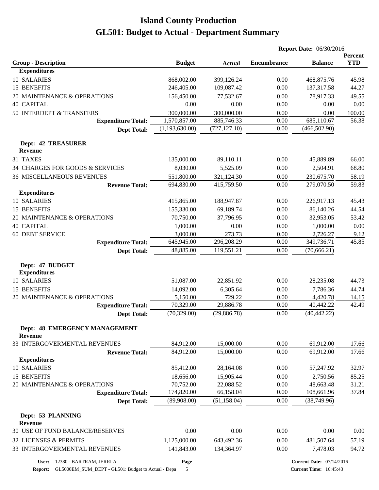|                                              |                            |               | <b>Report Date: 06/30/2016</b> |                                 |                 |
|----------------------------------------------|----------------------------|---------------|--------------------------------|---------------------------------|-----------------|
|                                              |                            |               |                                |                                 | Percent         |
| <b>Group - Description</b>                   | <b>Budget</b>              | <b>Actual</b> | <b>Encumbrance</b>             | <b>Balance</b>                  | <b>YTD</b>      |
| <b>Expenditures</b><br>10 SALARIES           |                            |               |                                |                                 |                 |
| 15 BENEFITS                                  | 868,002.00                 | 399,126.24    | 0.00<br>0.00                   | 468,875.76                      | 45.98<br>44.27  |
|                                              | 246,405.00                 | 109,087.42    |                                | 137,317.58                      |                 |
| 20 MAINTENANCE & OPERATIONS                  | 156,450.00                 | 77,532.67     | 0.00                           | 78,917.33                       | 49.55           |
| <b>40 CAPITAL</b>                            | 0.00                       | 0.00          | 0.00                           | 0.00                            | 0.00            |
| 50 INTERDEPT & TRANSFERS                     | 300,000.00<br>1,570,857.00 | 300,000.00    | 0.00<br>0.00                   | 0.00<br>685,110.67              | 100.00<br>56.38 |
| <b>Expenditure Total:</b>                    | (1,193,630.00)             | 885,746.33    | 0.00                           |                                 |                 |
| <b>Dept Total:</b>                           |                            | (727, 127.10) |                                | (466, 502.90)                   |                 |
| <b>Dept: 42 TREASURER</b>                    |                            |               |                                |                                 |                 |
| Revenue                                      |                            |               |                                |                                 |                 |
| 31 TAXES                                     | 135,000.00                 | 89,110.11     | 0.00                           | 45,889.89                       | 66.00           |
| 34 CHARGES FOR GOODS & SERVICES              | 8,030.00                   | 5,525.09      | 0.00                           | 2,504.91                        | 68.80           |
| <b>36 MISCELLANEOUS REVENUES</b>             | 551,800.00                 | 321,124.30    | 0.00                           | 230,675.70                      | 58.19           |
| <b>Revenue Total:</b>                        | 694,830.00                 | 415,759.50    | 0.00                           | 279,070.50                      | 59.83           |
| <b>Expenditures</b>                          |                            |               |                                |                                 |                 |
| 10 SALARIES                                  | 415,865.00                 | 188,947.87    | 0.00                           | 226,917.13                      | 45.43           |
| 15 BENEFITS                                  | 155,330.00                 | 69,189.74     | 0.00                           | 86,140.26                       | 44.54           |
| 20 MAINTENANCE & OPERATIONS                  | 70,750.00                  | 37,796.95     | 0.00                           | 32,953.05                       | 53.42           |
| <b>40 CAPITAL</b>                            | 1,000.00                   | 0.00          | 0.00                           | 1,000.00                        | 0.00            |
| <b>60 DEBT SERVICE</b>                       | 3,000.00                   | 273.73        | 0.00                           | 2,726.27                        | 9.12            |
| <b>Expenditure Total:</b>                    | 645,945.00                 | 296,208.29    | 0.00                           | 349,736.71                      | 45.85           |
| <b>Dept Total:</b>                           | 48,885.00                  | 119,551.21    | 0.00                           | (70, 666.21)                    |                 |
| Dept: 47 BUDGET                              |                            |               |                                |                                 |                 |
| <b>Expenditures</b>                          |                            |               |                                |                                 |                 |
| 10 SALARIES                                  | 51,087.00                  | 22,851.92     | 0.00                           | 28,235.08                       | 44.73           |
| 15 BENEFITS                                  | 14,092.00                  | 6,305.64      | 0.00                           | 7,786.36                        | 44.74           |
| 20 MAINTENANCE & OPERATIONS                  | 5,150.00                   | 729.22        | 0.00                           | 4,420.78                        | 14.15           |
| <b>Expenditure Total:</b>                    | 70,329.00                  | 29,886.78     | 0.00                           | 40,442.22                       | 42.49           |
| <b>Dept Total:</b>                           | (70, 329.00)               | (29, 886.78)  | 0.00                           | (40, 442.22)                    |                 |
|                                              |                            |               |                                |                                 |                 |
| Dept: 48 EMERGENCY MANAGEMENT                |                            |               |                                |                                 |                 |
| <b>Revenue</b>                               |                            |               |                                |                                 |                 |
| 33 INTERGOVERMENTAL REVENUES                 | 84,912.00<br>84,912.00     | 15,000.00     | 0.00<br>0.00                   | 69,912.00<br>69,912.00          | 17.66<br>17.66  |
| <b>Revenue Total:</b><br><b>Expenditures</b> |                            | 15,000.00     |                                |                                 |                 |
| 10 SALARIES                                  | 85,412.00                  | 28,164.08     | 0.00                           | 57,247.92                       | 32.97           |
| 15 BENEFITS                                  | 18,656.00                  | 15,905.44     | 0.00                           | 2,750.56                        | 85.25           |
| 20 MAINTENANCE & OPERATIONS                  | 70,752.00                  | 22,088.52     | 0.00                           |                                 |                 |
| <b>Expenditure Total:</b>                    | 174,820.00                 | 66,158.04     | 0.00                           | 48,663.48<br>108,661.96         | 31.21<br>37.84  |
| <b>Dept Total:</b>                           | (89,908.00)                | (51, 158.04)  | 0.00                           | (38,749.96)                     |                 |
|                                              |                            |               |                                |                                 |                 |
| Dept: 53 PLANNING                            |                            |               |                                |                                 |                 |
| Revenue                                      |                            |               |                                |                                 |                 |
| 30 USE OF FUND BALANCE/RESERVES              | 0.00                       | 0.00          | 0.00                           | 0.00                            | 0.00            |
| 32 LICENSES & PERMITS                        | 1,125,000.00               | 643,492.36    | 0.00                           | 481,507.64                      | 57.19           |
| 33 INTERGOVERMENTAL REVENUES                 | 141,843.00                 | 134,364.97    | 0.00                           | 7,478.03                        | 94.72           |
| 12380 - BARTRAM, JERRI A<br>User:            | Page                       |               |                                | <b>Current Date: 07/14/2016</b> |                 |

**Report:** GL5000EM\_SUM\_DEPT - GL501: Budget to Actual - Depa 5

**Current Date:** 07/14/2016 **Current Time:** 16:45:43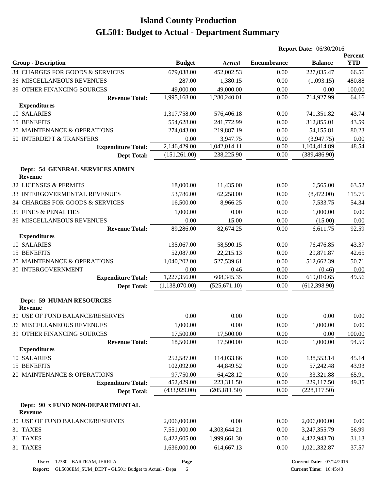|                                                    |                |               | <b>Report Date: 06/30/2016</b> |                |                       |
|----------------------------------------------------|----------------|---------------|--------------------------------|----------------|-----------------------|
| <b>Group - Description</b>                         | <b>Budget</b>  | <b>Actual</b> | <b>Encumbrance</b>             | <b>Balance</b> | Percent<br><b>YTD</b> |
| 34 CHARGES FOR GOODS & SERVICES                    | 679,038.00     | 452,002.53    | 0.00                           | 227,035.47     | 66.56                 |
| <b>36 MISCELLANEOUS REVENUES</b>                   | 287.00         | 1,380.15      | 0.00                           | (1,093.15)     | 480.88                |
| 39 OTHER FINANCING SOURCES                         | 49,000.00      | 49,000.00     | 0.00                           | 0.00           | 100.00                |
| <b>Revenue Total:</b>                              | 1,995,168.00   | 1,280,240.01  | 0.00                           | 714,927.99     | 64.16                 |
| <b>Expenditures</b>                                |                |               |                                |                |                       |
| 10 SALARIES                                        | 1,317,758.00   | 576,406.18    | 0.00                           | 741,351.82     | 43.74                 |
| 15 BENEFITS                                        | 554,628.00     | 241,772.99    | 0.00                           | 312,855.01     | 43.59                 |
| 20 MAINTENANCE & OPERATIONS                        | 274,043.00     | 219,887.19    | 0.00                           | 54,155.81      | 80.23                 |
| 50 INTERDEPT & TRANSFERS                           | 0.00           | 3,947.75      | 0.00                           | (3,947.75)     | 0.00                  |
| <b>Expenditure Total:</b>                          | 2,146,429.00   | 1,042,014.11  | 0.00                           | 1,104,414.89   | 48.54                 |
| <b>Dept Total:</b>                                 | (151, 261.00)  | 238,225.90    | 0.00                           | (389, 486.90)  |                       |
| Dept: 54 GENERAL SERVICES ADMIN<br><b>Revenue</b>  |                |               |                                |                |                       |
| 32 LICENSES & PERMITS                              | 18,000.00      | 11,435.00     | 0.00                           | 6,565.00       | 63.52                 |
| 33 INTERGOVERMENTAL REVENUES                       | 53,786.00      | 62,258.00     | 0.00                           | (8,472.00)     | 115.75                |
| 34 CHARGES FOR GOODS & SERVICES                    | 16,500.00      | 8,966.25      | 0.00                           | 7,533.75       | 54.34                 |
| <b>35 FINES &amp; PENALTIES</b>                    | 1,000.00       | 0.00          | 0.00                           | 1,000.00       | 0.00                  |
| <b>36 MISCELLANEOUS REVENUES</b>                   | 0.00           | 15.00         | 0.00                           | (15.00)        | 0.00                  |
| <b>Revenue Total:</b>                              | 89,286.00      | 82,674.25     | 0.00                           | 6,611.75       | 92.59                 |
| <b>Expenditures</b>                                |                |               |                                |                |                       |
| 10 SALARIES                                        | 135,067.00     | 58,590.15     | 0.00                           | 76,476.85      | 43.37                 |
| 15 BENEFITS                                        | 52,087.00      | 22,215.13     | 0.00                           | 29,871.87      | 42.65                 |
| 20 MAINTENANCE & OPERATIONS                        | 1,040,202.00   | 527,539.61    | 0.00                           | 512,662.39     | 50.71                 |
| <b>30 INTERGOVERNMENT</b>                          | 0.00           | 0.46          | 0.00                           | (0.46)         | 0.00                  |
| <b>Expenditure Total:</b>                          | 1,227,356.00   | 608, 345. 35  | 0.00                           | 619,010.65     | 49.56                 |
| <b>Dept Total:</b>                                 | (1,138,070.00) | (525, 671.10) | 0.00                           | (612, 398.90)  |                       |
| <b>Dept: 59 HUMAN RESOURCES</b><br><b>Revenue</b>  |                |               |                                |                |                       |
| 30 USE OF FUND BALANCE/RESERVES                    | 0.00           | 0.00          | 0.00                           | 0.00           | 0.00                  |
| <b>36 MISCELLANEOUS REVENUES</b>                   | 1,000.00       | 0.00          | 0.00                           | 1,000.00       | 0.00                  |
| 39 OTHER FINANCING SOURCES                         | 17,500.00      | 17,500.00     | 0.00                           | 0.00           | 100.00                |
| <b>Revenue Total:</b><br><b>Expenditures</b>       | 18,500.00      | 17,500.00     | 0.00                           | 1,000.00       | 94.59                 |
| 10 SALARIES                                        | 252,587.00     | 114,033.86    | 0.00                           | 138,553.14     | 45.14                 |
| 15 BENEFITS                                        | 102,092.00     | 44,849.52     | 0.00                           | 57,242.48      | 43.93                 |
| 20 MAINTENANCE & OPERATIONS                        | 97,750.00      | 64,428.12     | 0.00                           | 33,321.88      | 65.91                 |
| <b>Expenditure Total:</b>                          | 452,429.00     | 223,311.50    | 0.00                           | 229,117.50     | 49.35                 |
| <b>Dept Total:</b>                                 | (433,929.00)   | (205, 811.50) | 0.00                           | (228, 117.50)  |                       |
| Dept: 90 x FUND NON-DEPARTMENTAL<br><b>Revenue</b> |                |               |                                |                |                       |
| 30 USE OF FUND BALANCE/RESERVES                    | 2,006,000.00   | 0.00          | 0.00                           | 2,006,000.00   | 0.00                  |
| 31 TAXES                                           | 7,551,000.00   | 4,303,644.21  | 0.00                           | 3,247,355.79   | 56.99                 |
| 31 TAXES                                           | 6,422,605.00   | 1,999,661.30  | 0.00                           | 4,422,943.70   | 31.13                 |
| 31 TAXES                                           | 1,636,000.00   | 614, 667. 13  | 0.00                           | 1,021,332.87   | 37.57                 |
|                                                    |                |               |                                |                |                       |

**Page**

Report: GL5000EM\_SUM\_DEPT - GL501: Budget to Actual - Depa 6